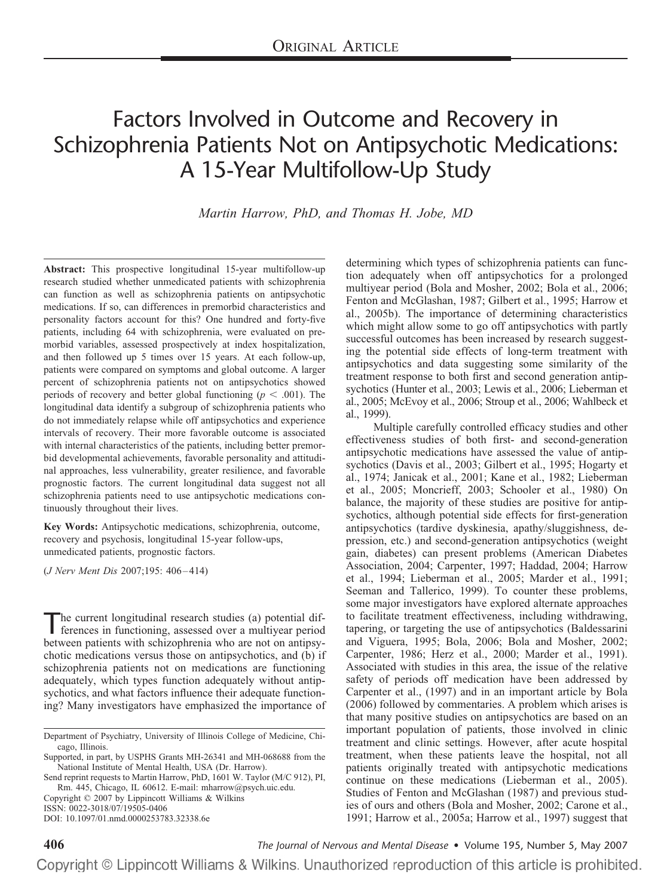# Factors Involved in Outcome and Recovery in Schizophrenia Patients Not on Antipsychotic Medications: A 15-Year Multifollow-Up Study

*Martin Harrow, PhD, and Thomas H. Jobe, MD*

**Abstract:** This prospective longitudinal 15-year multifollow-up research studied whether unmedicated patients with schizophrenia can function as well as schizophrenia patients on antipsychotic medications. If so, can differences in premorbid characteristics and personality factors account for this? One hundred and forty-five patients, including 64 with schizophrenia, were evaluated on premorbid variables, assessed prospectively at index hospitalization, and then followed up 5 times over 15 years. At each follow-up, patients were compared on symptoms and global outcome. A larger percent of schizophrenia patients not on antipsychotics showed periods of recovery and better global functioning ( $p < .001$ ). The longitudinal data identify a subgroup of schizophrenia patients who do not immediately relapse while off antipsychotics and experience intervals of recovery. Their more favorable outcome is associated with internal characteristics of the patients, including better premorbid developmental achievements, favorable personality and attitudinal approaches, less vulnerability, greater resilience, and favorable prognostic factors. The current longitudinal data suggest not all schizophrenia patients need to use antipsychotic medications continuously throughout their lives.

**Key Words:** Antipsychotic medications, schizophrenia, outcome, recovery and psychosis, longitudinal 15-year follow-ups, unmedicated patients, prognostic factors.

(*J Nerv Ment Dis* 2007;195: 406 – 414)

The current longitudinal research studies (a) potential dif-<br>ferences in functioning, assessed over a multiyear period between patients with schizophrenia who are not on antipsychotic medications versus those on antipsychotics, and (b) if schizophrenia patients not on medications are functioning adequately, which types function adequately without antipsychotics, and what factors influence their adequate functioning? Many investigators have emphasized the importance of

Send reprint requests to Martin Harrow, PhD, 1601 W. Taylor (M/C 912), PI, Rm. 445, Chicago, IL 60612. E-mail: mharrow@psych.uic.edu.

Copyright © 2007 by Lippincott Williams & Wilkins

ISSN: 0022-3018/07/19505-0406

DOI: 10.1097/01.nmd.0000253783.32338.6e

determining which types of schizophrenia patients can function adequately when off antipsychotics for a prolonged multiyear period (Bola and Mosher, 2002; Bola et al., 2006; Fenton and McGlashan, 1987; Gilbert et al., 1995; Harrow et al., 2005b). The importance of determining characteristics which might allow some to go off antipsychotics with partly successful outcomes has been increased by research suggesting the potential side effects of long-term treatment with antipsychotics and data suggesting some similarity of the treatment response to both first and second generation antipsychotics (Hunter et al., 2003; Lewis et al., 2006; Lieberman et al., 2005; McEvoy et al., 2006; Stroup et al., 2006; Wahlbeck et al., 1999).

Multiple carefully controlled efficacy studies and other effectiveness studies of both first- and second-generation antipsychotic medications have assessed the value of antipsychotics (Davis et al., 2003; Gilbert et al., 1995; Hogarty et al., 1974; Janicak et al., 2001; Kane et al., 1982; Lieberman et al., 2005; Moncrieff, 2003; Schooler et al., 1980) On balance, the majority of these studies are positive for antipsychotics, although potential side effects for first-generation antipsychotics (tardive dyskinesia, apathy/sluggishness, depression, etc.) and second-generation antipsychotics (weight gain, diabetes) can present problems (American Diabetes Association, 2004; Carpenter, 1997; Haddad, 2004; Harrow et al., 1994; Lieberman et al., 2005; Marder et al., 1991; Seeman and Tallerico, 1999). To counter these problems, some major investigators have explored alternate approaches to facilitate treatment effectiveness, including withdrawing, tapering, or targeting the use of antipsychotics (Baldessarini and Viguera, 1995; Bola, 2006; Bola and Mosher, 2002; Carpenter, 1986; Herz et al., 2000; Marder et al., 1991). Associated with studies in this area, the issue of the relative safety of periods off medication have been addressed by Carpenter et al., (1997) and in an important article by Bola (2006) followed by commentaries. A problem which arises is that many positive studies on antipsychotics are based on an important population of patients, those involved in clinic treatment and clinic settings. However, after acute hospital treatment, when these patients leave the hospital, not all patients originally treated with antipsychotic medications continue on these medications (Lieberman et al., 2005). Studies of Fenton and McGlashan (1987) and previous studies of ours and others (Bola and Mosher, 2002; Carone et al., 1991; Harrow et al., 2005a; Harrow et al., 1997) suggest that

**406** *The Journal of Nervous and Mental Disease* • Volume 195, Number 5, May 2007

Department of Psychiatry, University of Illinois College of Medicine, Chicago, Illinois.

Supported, in part, by USPHS Grants MH-26341 and MH-068688 from the National Institute of Mental Health, USA (Dr. Harrow).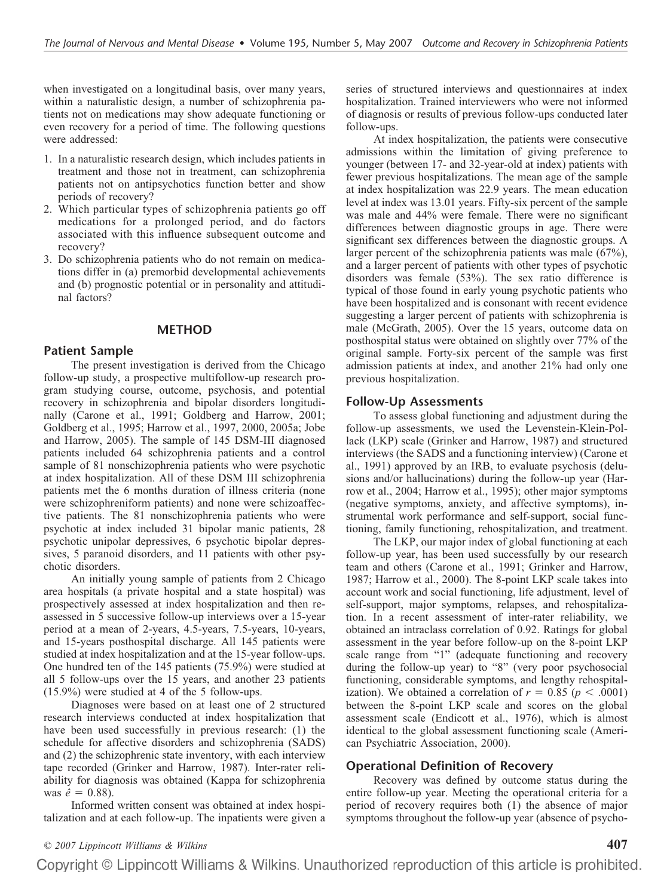when investigated on a longitudinal basis, over many years, within a naturalistic design, a number of schizophrenia patients not on medications may show adequate functioning or even recovery for a period of time. The following questions were addressed:

- 1. In a naturalistic research design, which includes patients in treatment and those not in treatment, can schizophrenia patients not on antipsychotics function better and show periods of recovery?
- 2. Which particular types of schizophrenia patients go off medications for a prolonged period, and do factors associated with this influence subsequent outcome and recovery?
- 3. Do schizophrenia patients who do not remain on medications differ in (a) premorbid developmental achievements and (b) prognostic potential or in personality and attitudinal factors?

#### **METHOD**

#### **Patient Sample**

The present investigation is derived from the Chicago follow-up study, a prospective multifollow-up research program studying course, outcome, psychosis, and potential recovery in schizophrenia and bipolar disorders longitudinally (Carone et al., 1991; Goldberg and Harrow, 2001; Goldberg et al., 1995; Harrow et al., 1997, 2000, 2005a; Jobe and Harrow, 2005). The sample of 145 DSM-III diagnosed patients included 64 schizophrenia patients and a control sample of 81 nonschizophrenia patients who were psychotic at index hospitalization. All of these DSM III schizophrenia patients met the 6 months duration of illness criteria (none were schizophreniform patients) and none were schizoaffective patients. The 81 nonschizophrenia patients who were psychotic at index included 31 bipolar manic patients, 28 psychotic unipolar depressives, 6 psychotic bipolar depressives, 5 paranoid disorders, and 11 patients with other psychotic disorders.

An initially young sample of patients from 2 Chicago area hospitals (a private hospital and a state hospital) was prospectively assessed at index hospitalization and then reassessed in 5 successive follow-up interviews over a 15-year period at a mean of 2-years, 4.5-years, 7.5-years, 10-years, and 15-years posthospital discharge. All 145 patients were studied at index hospitalization and at the 15-year follow-ups. One hundred ten of the 145 patients (75.9%) were studied at all 5 follow-ups over the 15 years, and another 23 patients (15.9%) were studied at 4 of the 5 follow-ups.

Diagnoses were based on at least one of 2 structured research interviews conducted at index hospitalization that have been used successfully in previous research: (1) the schedule for affective disorders and schizophrenia (SADS) and (2) the schizophrenic state inventory, with each interview tape recorded (Grinker and Harrow, 1987). Inter-rater reliability for diagnosis was obtained (Kappa for schizophrenia  $was \hat{e} = 0.88$ .

Informed written consent was obtained at index hospitalization and at each follow-up. The inpatients were given a series of structured interviews and questionnaires at index hospitalization. Trained interviewers who were not informed of diagnosis or results of previous follow-ups conducted later follow-ups.

At index hospitalization, the patients were consecutive admissions within the limitation of giving preference to younger (between 17- and 32-year-old at index) patients with fewer previous hospitalizations. The mean age of the sample at index hospitalization was 22.9 years. The mean education level at index was 13.01 years. Fifty-six percent of the sample was male and 44% were female. There were no significant differences between diagnostic groups in age. There were significant sex differences between the diagnostic groups. A larger percent of the schizophrenia patients was male (67%), and a larger percent of patients with other types of psychotic disorders was female (53%). The sex ratio difference is typical of those found in early young psychotic patients who have been hospitalized and is consonant with recent evidence suggesting a larger percent of patients with schizophrenia is male (McGrath, 2005). Over the 15 years, outcome data on posthospital status were obtained on slightly over 77% of the original sample. Forty-six percent of the sample was first admission patients at index, and another 21% had only one previous hospitalization.

#### **Follow-Up Assessments**

To assess global functioning and adjustment during the follow-up assessments, we used the Levenstein-Klein-Pollack (LKP) scale (Grinker and Harrow, 1987) and structured interviews (the SADS and a functioning interview) (Carone et al., 1991) approved by an IRB, to evaluate psychosis (delusions and/or hallucinations) during the follow-up year (Harrow et al., 2004; Harrow et al., 1995); other major symptoms (negative symptoms, anxiety, and affective symptoms), instrumental work performance and self-support, social functioning, family functioning, rehospitalization, and treatment.

The LKP, our major index of global functioning at each follow-up year, has been used successfully by our research team and others (Carone et al., 1991; Grinker and Harrow, 1987; Harrow et al., 2000). The 8-point LKP scale takes into account work and social functioning, life adjustment, level of self-support, major symptoms, relapses, and rehospitalization. In a recent assessment of inter-rater reliability, we obtained an intraclass correlation of 0.92. Ratings for global assessment in the year before follow-up on the 8-point LKP scale range from "1" (adequate functioning and recovery during the follow-up year) to "8" (very poor psychosocial functioning, considerable symptoms, and lengthy rehospitalization). We obtained a correlation of  $r = 0.85$  ( $p < .0001$ ) between the 8-point LKP scale and scores on the global assessment scale (Endicott et al., 1976), which is almost identical to the global assessment functioning scale (American Psychiatric Association, 2000).

#### **Operational Definition of Recovery**

Recovery was defined by outcome status during the entire follow-up year. Meeting the operational criteria for a period of recovery requires both (1) the absence of major symptoms throughout the follow-up year (absence of psycho-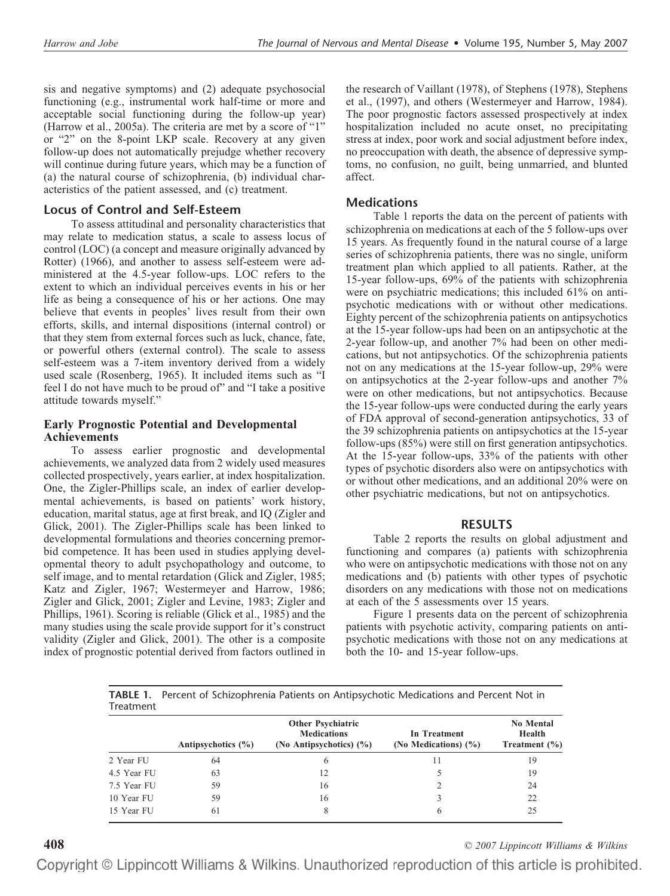sis and negative symptoms) and (2) adequate psychosocial functioning (e.g., instrumental work half-time or more and acceptable social functioning during the follow-up year) (Harrow et al., 2005a). The criteria are met by a score of "1" or "2" on the 8-point LKP scale. Recovery at any given follow-up does not automatically prejudge whether recovery will continue during future years, which may be a function of (a) the natural course of schizophrenia, (b) individual characteristics of the patient assessed, and (c) treatment.

## **Locus of Control and Self-Esteem**

To assess attitudinal and personality characteristics that may relate to medication status, a scale to assess locus of control (LOC) (a concept and measure originally advanced by Rotter) (1966), and another to assess self-esteem were administered at the 4.5-year follow-ups. LOC refers to the extent to which an individual perceives events in his or her life as being a consequence of his or her actions. One may believe that events in peoples' lives result from their own efforts, skills, and internal dispositions (internal control) or that they stem from external forces such as luck, chance, fate, or powerful others (external control). The scale to assess self-esteem was a 7-item inventory derived from a widely used scale (Rosenberg, 1965). It included items such as "I feel I do not have much to be proud of" and "I take a positive attitude towards myself."

### **Early Prognostic Potential and Developmental Achievements**

To assess earlier prognostic and developmental achievements, we analyzed data from 2 widely used measures collected prospectively, years earlier, at index hospitalization. One, the Zigler-Phillips scale, an index of earlier developmental achievements, is based on patients' work history, education, marital status, age at first break, and IQ (Zigler and Glick, 2001). The Zigler-Phillips scale has been linked to developmental formulations and theories concerning premorbid competence. It has been used in studies applying developmental theory to adult psychopathology and outcome, to self image, and to mental retardation (Glick and Zigler, 1985; Katz and Zigler, 1967; Westermeyer and Harrow, 1986; Zigler and Glick, 2001; Zigler and Levine, 1983; Zigler and Phillips, 1961). Scoring is reliable (Glick et al., 1985) and the many studies using the scale provide support for it's construct validity (Zigler and Glick, 2001). The other is a composite index of prognostic potential derived from factors outlined in

the research of Vaillant (1978), of Stephens (1978), Stephens et al., (1997), and others (Westermeyer and Harrow, 1984). The poor prognostic factors assessed prospectively at index hospitalization included no acute onset, no precipitating stress at index, poor work and social adjustment before index, no preoccupation with death, the absence of depressive symptoms, no confusion, no guilt, being unmarried, and blunted affect.

## **Medications**

Table 1 reports the data on the percent of patients with schizophrenia on medications at each of the 5 follow-ups over 15 years. As frequently found in the natural course of a large series of schizophrenia patients, there was no single, uniform treatment plan which applied to all patients. Rather, at the 15-year follow-ups, 69% of the patients with schizophrenia were on psychiatric medications; this included 61% on antipsychotic medications with or without other medications. Eighty percent of the schizophrenia patients on antipsychotics at the 15-year follow-ups had been on an antipsychotic at the 2-year follow-up, and another 7% had been on other medications, but not antipsychotics. Of the schizophrenia patients not on any medications at the 15-year follow-up, 29% were on antipsychotics at the 2-year follow-ups and another 7% were on other medications, but not antipsychotics. Because the 15-year follow-ups were conducted during the early years of FDA approval of second-generation antipsychotics, 33 of the 39 schizophrenia patients on antipsychotics at the 15-year follow-ups (85%) were still on first generation antipsychotics. At the 15-year follow-ups, 33% of the patients with other types of psychotic disorders also were on antipsychotics with or without other medications, and an additional 20% were on other psychiatric medications, but not on antipsychotics.

## **RESULTS**

Table 2 reports the results on global adjustment and functioning and compares (a) patients with schizophrenia who were on antipsychotic medications with those not on any medications and (b) patients with other types of psychotic disorders on any medications with those not on medications at each of the 5 assessments over 15 years.

Figure 1 presents data on the percent of schizophrenia patients with psychotic activity, comparing patients on antipsychotic medications with those not on any medications at both the 10- and 15-year follow-ups.

**TABLE 1.** Percent of Schizophrenia Patients on Antipsychotic Medications and Percent Not in **Treatment** 

|             | Antipsychotics $(\% )$ | <b>Other Psychiatric</b><br><b>Medications</b><br>(No Antipsychotics) (%) | In Treatment<br>(No Medications) $(\% )$ | <b>No Mental</b><br>Health<br>Treatment $(\% )$ |  |
|-------------|------------------------|---------------------------------------------------------------------------|------------------------------------------|-------------------------------------------------|--|
| 2 Year FU   | 64                     | 6                                                                         | 11                                       | 19                                              |  |
| 4.5 Year FU | 63                     | 12                                                                        |                                          | 19                                              |  |
| 7.5 Year FU | 59                     | 16                                                                        |                                          | 24                                              |  |
| 10 Year FU  | 59                     | 16                                                                        | 3                                        | 22                                              |  |
| 15 Year FU  | 61                     | 8                                                                         | 6                                        | 25                                              |  |

**408** *© 2007 Lippincott Williams & Wilkins*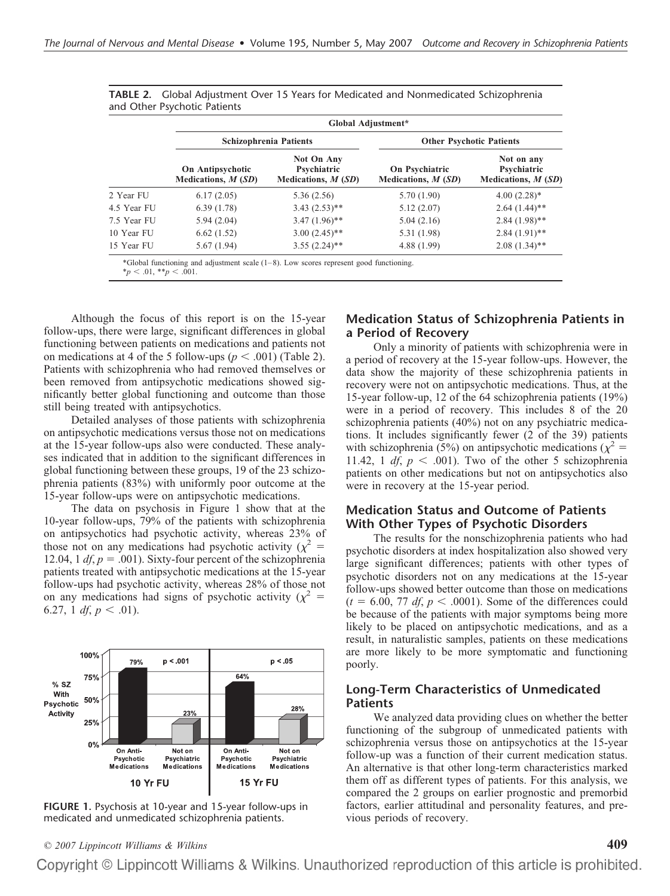|             | Global Adjustment*                       |                                                          |                                        |                                                   |  |  |  |  |
|-------------|------------------------------------------|----------------------------------------------------------|----------------------------------------|---------------------------------------------------|--|--|--|--|
|             |                                          | <b>Schizophrenia Patients</b>                            | <b>Other Psychotic Patients</b>        |                                                   |  |  |  |  |
|             | On Antipsychotic<br>Medications, $M(SD)$ | <b>Not On Any</b><br>Psychiatric<br>Medications, $M(SD)$ | On Psychiatric<br>Medications, $M(SD)$ | Not on any<br>Psychiatric<br>Medications, $M(SD)$ |  |  |  |  |
| 2 Year FU   | 6.17(2.05)                               | 5.36(2.56)                                               | 5.70(1.90)                             | $4.00(2.28)$ *                                    |  |  |  |  |
| 4.5 Year FU | 6.39(1.78)                               | $3.43(2.53)$ **                                          | 5.12(2.07)                             | $2.64(1.44)$ **                                   |  |  |  |  |
| 7.5 Year FU | 5.94(2.04)                               | $3.47(1.96)$ **                                          | 5.04(2.16)                             | $2.84(1.98)$ **                                   |  |  |  |  |
| 10 Year FU  | 6.62(1.52)                               | $3.00(2.45)$ **                                          | 5.31 (1.98)                            | $2.84(1.91)$ **                                   |  |  |  |  |
| 15 Year FU  | 5.67(1.94)                               | $3.55(2.24)$ **                                          | 4.88 (1.99)                            | $2.08(1.34)$ **                                   |  |  |  |  |

| <b>TABLE 2.</b> Global Adjustment Over 15 Years for Medicated and Nonmedicated Schizophrenia |  |  |  |
|----------------------------------------------------------------------------------------------|--|--|--|
| and Other Psychotic Patients                                                                 |  |  |  |

Although the focus of this report is on the 15-year follow-ups, there were large, significant differences in global functioning between patients on medications and patients not on medications at 4 of the 5 follow-ups ( $p < .001$ ) (Table 2). Patients with schizophrenia who had removed themselves or been removed from antipsychotic medications showed significantly better global functioning and outcome than those still being treated with antipsychotics.

Detailed analyses of those patients with schizophrenia on antipsychotic medications versus those not on medications at the 15-year follow-ups also were conducted. These analyses indicated that in addition to the significant differences in global functioning between these groups, 19 of the 23 schizophrenia patients (83%) with uniformly poor outcome at the 15-year follow-ups were on antipsychotic medications.

The data on psychosis in Figure 1 show that at the 10-year follow-ups, 79% of the patients with schizophrenia on antipsychotics had psychotic activity, whereas 23% of those not on any medications had psychotic activity ( $\chi^2$  = 12.04, 1  $df$ ,  $p = .001$ ). Sixty-four percent of the schizophrenia patients treated with antipsychotic medications at the 15-year follow-ups had psychotic activity, whereas 28% of those not on any medications had signs of psychotic activity ( $\chi^2$  = 6.27, 1 *df*,  $p < .01$ ).



**FIGURE 1.** Psychosis at 10-year and 15-year follow-ups in medicated and unmedicated schizophrenia patients.

#### **Medication Status of Schizophrenia Patients in a Period of Recovery**

Only a minority of patients with schizophrenia were in a period of recovery at the 15-year follow-ups. However, the data show the majority of these schizophrenia patients in recovery were not on antipsychotic medications. Thus, at the 15-year follow-up, 12 of the 64 schizophrenia patients (19%) were in a period of recovery. This includes 8 of the 20 schizophrenia patients (40%) not on any psychiatric medications. It includes significantly fewer (2 of the 39) patients with schizophrenia (5%) on antipsychotic medications ( $\chi^2$  = 11.42, 1  $df, p < .001$ ). Two of the other 5 schizophrenia patients on other medications but not on antipsychotics also were in recovery at the 15-year period.

### **Medication Status and Outcome of Patients With Other Types of Psychotic Disorders**

The results for the nonschizophrenia patients who had psychotic disorders at index hospitalization also showed very large significant differences; patients with other types of psychotic disorders not on any medications at the 15-year follow-ups showed better outcome than those on medications  $(t = 6.00, 77 \text{ df}, p < .0001)$ . Some of the differences could be because of the patients with major symptoms being more likely to be placed on antipsychotic medications, and as a result, in naturalistic samples, patients on these medications are more likely to be more symptomatic and functioning poorly.

### **Long-Term Characteristics of Unmedicated Patients**

We analyzed data providing clues on whether the better functioning of the subgroup of unmedicated patients with schizophrenia versus those on antipsychotics at the 15-year follow-up was a function of their current medication status. An alternative is that other long-term characteristics marked them off as different types of patients. For this analysis, we compared the 2 groups on earlier prognostic and premorbid factors, earlier attitudinal and personality features, and previous periods of recovery.

*© 2007 Lippincott Williams & Wilkins* **409**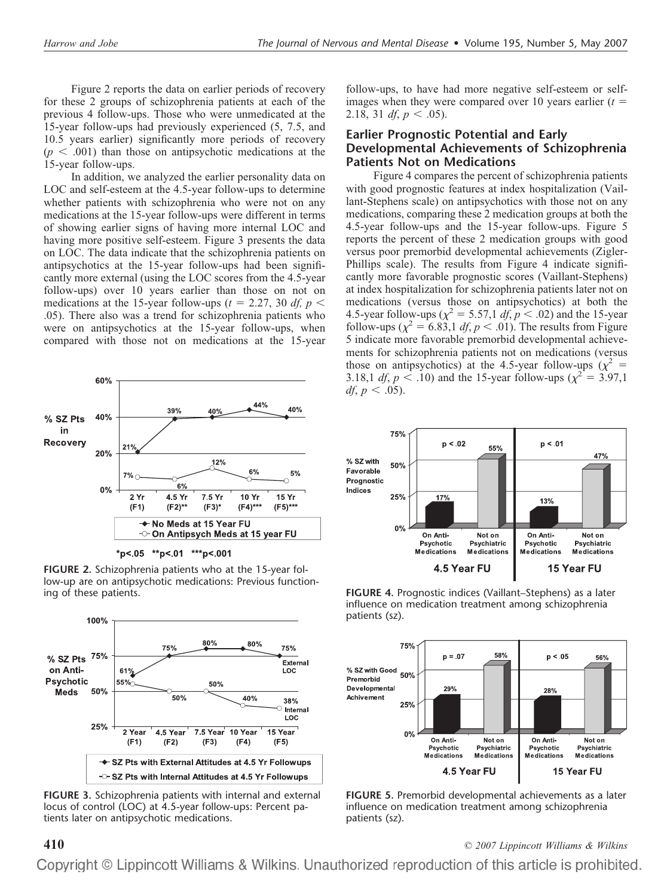Figure 2 reports the data on earlier periods of recovery for these 2 groups of schizophrenia patients at each of the previous 4 follow-ups. Those who were unmedicated at the 15-year follow-ups had previously experienced (5, 7.5, and 10.5 years earlier) significantly more periods of recovery  $(p < .001)$  than those on antipsychotic medications at the 15-year follow-ups.

In addition, we analyzed the earlier personality data on LOC and self-esteem at the 4.5-year follow-ups to determine whether patients with schizophrenia who were not on any medications at the 15-year follow-ups were different in terms of showing earlier signs of having more internal LOC and having more positive self-esteem. Figure 3 presents the data on LOC. The data indicate that the schizophrenia patients on antipsychotics at the 15-year follow-ups had been significantly more external (using the LOC scores from the 4.5-year follow-ups) over 10 years earlier than those on not on medications at the 15-year follow-ups ( $t = 2.27$ , 30 *df, p* < .05). There also was a trend for schizophrenia patients who were on antipsychotics at the 15-year follow-ups, when compared with those not on medications at the 15-year



**FIGURE 2.** Schizophrenia patients who at the 15-year follow-up are on antipsychotic medications: Previous functioning of these patients.



**FIGURE 3.** Schizophrenia patients with internal and external locus of control (LOC) at 4.5-year follow-ups: Percent patients later on antipsychotic medications.

follow-ups, to have had more negative self-esteem or selfimages when they were compared over 10 years earlier  $(t =$ 2.18, 31 *df*,  $p < .05$ ).

## **Earlier Prognostic Potential and Early Developmental Achievements of Schizophrenia Patients Not on Medications**

Figure 4 compares the percent of schizophrenia patients with good prognostic features at index hospitalization (Vaillant-Stephens scale) on antipsychotics with those not on any medications, comparing these 2 medication groups at both the 4.5-year follow-ups and the 15-year follow-ups. Figure 5 reports the percent of these 2 medication groups with good versus poor premorbid developmental achievements (Zigler-Phillips scale). The results from Figure 4 indicate significantly more favorable prognostic scores (Vaillant-Stephens) at index hospitalization for schizophrenia patients later not on medications (versus those on antipsychotics) at both the 4.5-year follow-ups ( $\chi^2 = 5.57, 1 \, df, p < .02$ ) and the 15-year follow-ups  $(\chi^2 = 6.83, 1 \text{ df}, p < .01)$ . The results from Figure 5 indicate more favorable premorbid developmental achievements for schizophrenia patients not on medications (versus those on antipsychotics) at the 4.5-year follow-ups  $(\chi^2 =$ 3.18,1 *df*,  $p < .10$ ) and the 15-year follow-ups ( $\chi^2 = 3.97,1$ *df*,  $p < .05$ ).



**FIGURE 4.** Prognostic indices (Vaillant–Stephens) as a later influence on medication treatment among schizophrenia patients (sz).



**FIGURE 5.** Premorbid developmental achievements as a later influence on medication treatment among schizophrenia patients (sz).

**410** *© 2007 Lippincott Williams & Wilkins*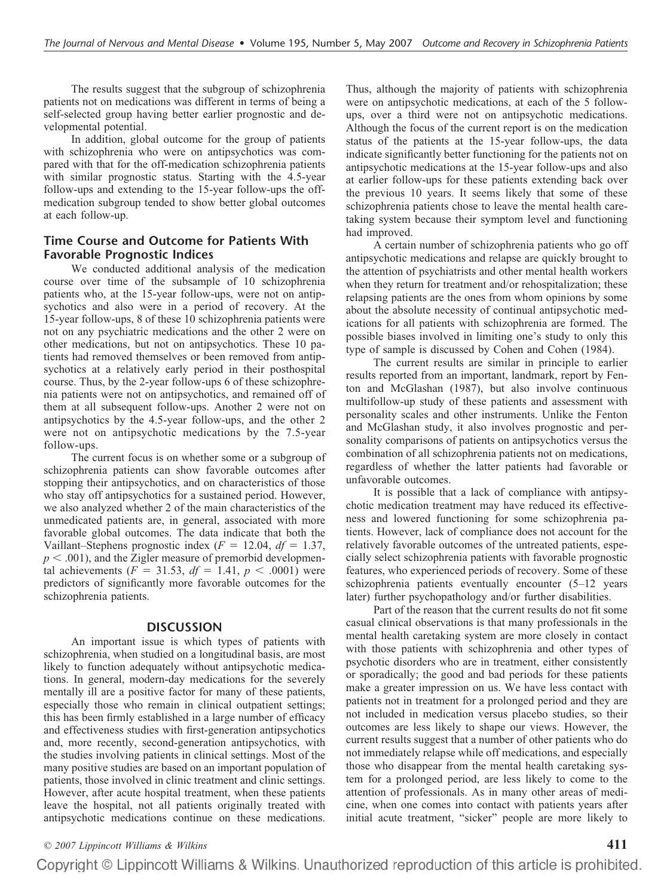The results suggest that the subgroup of schizophrenia patients not on medications was different in terms of being a self-selected group having better earlier prognostic and developmental potential.

In addition, global outcome for the group of patients with schizophrenia who were on antipsychotics was compared with that for the off-medication schizophrenia patients with similar prognostic status. Starting with the 4.5-year follow-ups and extending to the 15-year follow-ups the offmedication subgroup tended to show better global outcomes at each follow-up.

## **Time Course and Outcome for Patients With Favorable Prognostic Indices**

We conducted additional analysis of the medication course over time of the subsample of 10 schizophrenia patients who, at the 15-year follow-ups, were not on antipsychotics and also were in a period of recovery. At the 15-year follow-ups, 8 of these 10 schizophrenia patients were not on any psychiatric medications and the other 2 were on other medications, but not on antipsychotics. These 10 patients had removed themselves or been removed from antipsychotics at a relatively early period in their posthospital course. Thus, by the 2-year follow-ups 6 of these schizophrenia patients were not on antipsychotics, and remained off of them at all subsequent follow-ups. Another 2 were not on antipsychotics by the 4.5-year follow-ups, and the other 2 were not on antipsychotic medications by the 7.5-year follow-ups.

The current focus is on whether some or a subgroup of schizophrenia patients can show favorable outcomes after stopping their antipsychotics, and on characteristics of those who stay off antipsychotics for a sustained period. However, we also analyzed whether 2 of the main characteristics of the unmedicated patients are, in general, associated with more favorable global outcomes. The data indicate that both the Vaillant–Stephens prognostic index ( $F = 12.04$ ,  $df = 1.37$ ,  $p < .001$ ), and the Zigler measure of premorbid developmental achievements ( $F = 31.53$ ,  $df = 1.41$ ,  $p < .0001$ ) were predictors of significantly more favorable outcomes for the schizophrenia patients.

#### **DISCUSSION**

An important issue is which types of patients with schizophrenia, when studied on a longitudinal basis, are most likely to function adequately without antipsychotic medications. In general, modern-day medications for the severely mentally ill are a positive factor for many of these patients, especially those who remain in clinical outpatient settings; this has been firmly established in a large number of efficacy and effectiveness studies with first-generation antipsychotics and, more recently, second-generation antipsychotics, with the studies involving patients in clinical settings. Most of the many positive studies are based on an important population of patients, those involved in clinic treatment and clinic settings. However, after acute hospital treatment, when these patients leave the hospital, not all patients originally treated with antipsychotic medications continue on these medications.

Thus, although the majority of patients with schizophrenia were on antipsychotic medications, at each of the 5 followups, over a third were not on antipsychotic medications. Although the focus of the current report is on the medication status of the patients at the 15-year follow-ups, the data indicate significantly better functioning for the patients not on antipsychotic medications at the 15-year follow-ups and also at earlier follow-ups for these patients extending back over the previous 10 years. It seems likely that some of these schizophrenia patients chose to leave the mental health caretaking system because their symptom level and functioning had improved.

A certain number of schizophrenia patients who go off antipsychotic medications and relapse are quickly brought to the attention of psychiatrists and other mental health workers when they return for treatment and/or rehospitalization; these relapsing patients are the ones from whom opinions by some about the absolute necessity of continual antipsychotic medications for all patients with schizophrenia are formed. The possible biases involved in limiting one's study to only this type of sample is discussed by Cohen and Cohen (1984).

The current results are similar in principle to earlier results reported from an important, landmark, report by Fenton and McGlashan (1987), but also involve continuous multifollow-up study of these patients and assessment with personality scales and other instruments. Unlike the Fenton and McGlashan study, it also involves prognostic and personality comparisons of patients on antipsychotics versus the combination of all schizophrenia patients not on medications, regardless of whether the latter patients had favorable or unfavorable outcomes.

It is possible that a lack of compliance with antipsychotic medication treatment may have reduced its effectiveness and lowered functioning for some schizophrenia patients. However, lack of compliance does not account for the relatively favorable outcomes of the untreated patients, especially select schizophrenia patients with favorable prognostic features, who experienced periods of recovery. Some of these schizophrenia patients eventually encounter (5–12 years later) further psychopathology and/or further disabilities.

Part of the reason that the current results do not fit some casual clinical observations is that many professionals in the mental health caretaking system are more closely in contact with those patients with schizophrenia and other types of psychotic disorders who are in treatment, either consistently or sporadically; the good and bad periods for these patients make a greater impression on us. We have less contact with patients not in treatment for a prolonged period and they are not included in medication versus placebo studies, so their outcomes are less likely to shape our views. However, the current results suggest that a number of other patients who do not immediately relapse while off medications, and especially those who disappear from the mental health caretaking system for a prolonged period, are less likely to come to the attention of professionals. As in many other areas of medicine, when one comes into contact with patients years after initial acute treatment, "sicker" people are more likely to

#### *© 2007 Lippincott Williams & Wilkins* **411**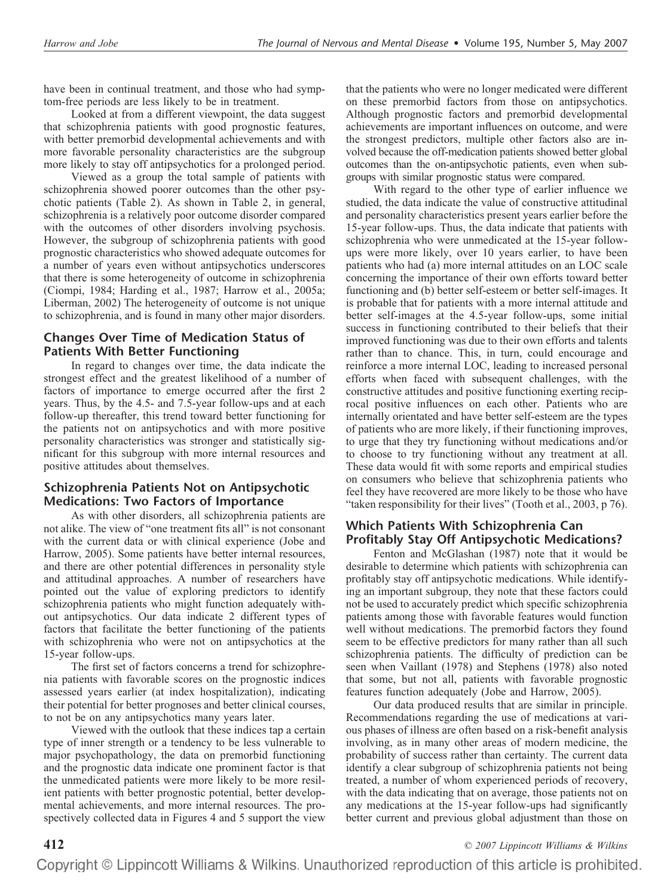have been in continual treatment, and those who had symptom-free periods are less likely to be in treatment.

Looked at from a different viewpoint, the data suggest that schizophrenia patients with good prognostic features, with better premorbid developmental achievements and with more favorable personality characteristics are the subgroup more likely to stay off antipsychotics for a prolonged period.

Viewed as a group the total sample of patients with schizophrenia showed poorer outcomes than the other psychotic patients (Table 2). As shown in Table 2, in general, schizophrenia is a relatively poor outcome disorder compared with the outcomes of other disorders involving psychosis. However, the subgroup of schizophrenia patients with good prognostic characteristics who showed adequate outcomes for a number of years even without antipsychotics underscores that there is some heterogeneity of outcome in schizophrenia (Ciompi, 1984; Harding et al., 1987; Harrow et al., 2005a; Liberman, 2002) The heterogeneity of outcome is not unique to schizophrenia, and is found in many other major disorders.

## **Changes Over Time of Medication Status of Patients With Better Functioning**

In regard to changes over time, the data indicate the strongest effect and the greatest likelihood of a number of factors of importance to emerge occurred after the first 2 years. Thus, by the 4.5- and 7.5-year follow-ups and at each follow-up thereafter, this trend toward better functioning for the patients not on antipsychotics and with more positive personality characteristics was stronger and statistically significant for this subgroup with more internal resources and positive attitudes about themselves.

## **Schizophrenia Patients Not on Antipsychotic Medications: Two Factors of Importance**

As with other disorders, all schizophrenia patients are not alike. The view of "one treatment fits all" is not consonant with the current data or with clinical experience (Jobe and Harrow, 2005). Some patients have better internal resources, and there are other potential differences in personality style and attitudinal approaches. A number of researchers have pointed out the value of exploring predictors to identify schizophrenia patients who might function adequately without antipsychotics. Our data indicate 2 different types of factors that facilitate the better functioning of the patients with schizophrenia who were not on antipsychotics at the 15-year follow-ups.

The first set of factors concerns a trend for schizophrenia patients with favorable scores on the prognostic indices assessed years earlier (at index hospitalization), indicating their potential for better prognoses and better clinical courses, to not be on any antipsychotics many years later.

Viewed with the outlook that these indices tap a certain type of inner strength or a tendency to be less vulnerable to major psychopathology, the data on premorbid functioning and the prognostic data indicate one prominent factor is that the unmedicated patients were more likely to be more resilient patients with better prognostic potential, better developmental achievements, and more internal resources. The prospectively collected data in Figures 4 and 5 support the view

that the patients who were no longer medicated were different on these premorbid factors from those on antipsychotics. Although prognostic factors and premorbid developmental achievements are important influences on outcome, and were the strongest predictors, multiple other factors also are involved because the off-medication patients showed better global outcomes than the on-antipsychotic patients, even when subgroups with similar prognostic status were compared.

With regard to the other type of earlier influence we studied, the data indicate the value of constructive attitudinal and personality characteristics present years earlier before the 15-year follow-ups. Thus, the data indicate that patients with schizophrenia who were unmedicated at the 15-year followups were more likely, over 10 years earlier, to have been patients who had (a) more internal attitudes on an LOC scale concerning the importance of their own efforts toward better functioning and (b) better self-esteem or better self-images. It is probable that for patients with a more internal attitude and better self-images at the 4.5-year follow-ups, some initial success in functioning contributed to their beliefs that their improved functioning was due to their own efforts and talents rather than to chance. This, in turn, could encourage and reinforce a more internal LOC, leading to increased personal efforts when faced with subsequent challenges, with the constructive attitudes and positive functioning exerting reciprocal positive influences on each other. Patients who are internally orientated and have better self-esteem are the types of patients who are more likely, if their functioning improves, to urge that they try functioning without medications and/or to choose to try functioning without any treatment at all. These data would fit with some reports and empirical studies on consumers who believe that schizophrenia patients who feel they have recovered are more likely to be those who have "taken responsibility for their lives" (Tooth et al., 2003, p 76).

## **Which Patients With Schizophrenia Can Profitably Stay Off Antipsychotic Medications?**

Fenton and McGlashan (1987) note that it would be desirable to determine which patients with schizophrenia can profitably stay off antipsychotic medications. While identifying an important subgroup, they note that these factors could not be used to accurately predict which specific schizophrenia patients among those with favorable features would function well without medications. The premorbid factors they found seem to be effective predictors for many rather than all such schizophrenia patients. The difficulty of prediction can be seen when Vaillant (1978) and Stephens (1978) also noted that some, but not all, patients with favorable prognostic features function adequately (Jobe and Harrow, 2005).

Our data produced results that are similar in principle. Recommendations regarding the use of medications at various phases of illness are often based on a risk-benefit analysis involving, as in many other areas of modern medicine, the probability of success rather than certainty. The current data identify a clear subgroup of schizophrenia patients not being treated, a number of whom experienced periods of recovery, with the data indicating that on average, those patients not on any medications at the 15-year follow-ups had significantly better current and previous global adjustment than those on

**412** *© 2007 Lippincott Williams & Wilkins*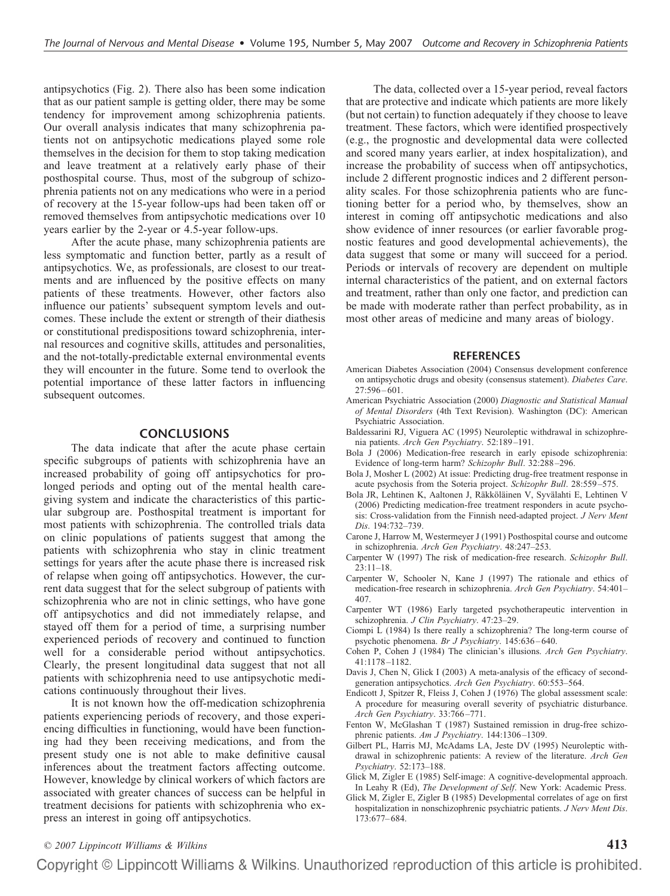antipsychotics (Fig. 2). There also has been some indication that as our patient sample is getting older, there may be some tendency for improvement among schizophrenia patients. Our overall analysis indicates that many schizophrenia patients not on antipsychotic medications played some role themselves in the decision for them to stop taking medication and leave treatment at a relatively early phase of their posthospital course. Thus, most of the subgroup of schizophrenia patients not on any medications who were in a period of recovery at the 15-year follow-ups had been taken off or removed themselves from antipsychotic medications over 10 years earlier by the 2-year or 4.5-year follow-ups.

After the acute phase, many schizophrenia patients are less symptomatic and function better, partly as a result of antipsychotics. We, as professionals, are closest to our treatments and are influenced by the positive effects on many patients of these treatments. However, other factors also influence our patients' subsequent symptom levels and outcomes. These include the extent or strength of their diathesis or constitutional predispositions toward schizophrenia, internal resources and cognitive skills, attitudes and personalities, and the not-totally-predictable external environmental events they will encounter in the future. Some tend to overlook the potential importance of these latter factors in influencing subsequent outcomes.

#### **CONCLUSIONS**

The data indicate that after the acute phase certain specific subgroups of patients with schizophrenia have an increased probability of going off antipsychotics for prolonged periods and opting out of the mental health caregiving system and indicate the characteristics of this particular subgroup are. Posthospital treatment is important for most patients with schizophrenia. The controlled trials data on clinic populations of patients suggest that among the patients with schizophrenia who stay in clinic treatment settings for years after the acute phase there is increased risk of relapse when going off antipsychotics. However, the current data suggest that for the select subgroup of patients with schizophrenia who are not in clinic settings, who have gone off antipsychotics and did not immediately relapse, and stayed off them for a period of time, a surprising number experienced periods of recovery and continued to function well for a considerable period without antipsychotics. Clearly, the present longitudinal data suggest that not all patients with schizophrenia need to use antipsychotic medications continuously throughout their lives.

It is not known how the off-medication schizophrenia patients experiencing periods of recovery, and those experiencing difficulties in functioning, would have been functioning had they been receiving medications, and from the present study one is not able to make definitive causal inferences about the treatment factors affecting outcome. However, knowledge by clinical workers of which factors are associated with greater chances of success can be helpful in treatment decisions for patients with schizophrenia who express an interest in going off antipsychotics.

The data, collected over a 15-year period, reveal factors that are protective and indicate which patients are more likely (but not certain) to function adequately if they choose to leave treatment. These factors, which were identified prospectively (e.g., the prognostic and developmental data were collected and scored many years earlier, at index hospitalization), and increase the probability of success when off antipsychotics, include 2 different prognostic indices and 2 different personality scales. For those schizophrenia patients who are functioning better for a period who, by themselves, show an interest in coming off antipsychotic medications and also show evidence of inner resources (or earlier favorable prognostic features and good developmental achievements), the data suggest that some or many will succeed for a period. Periods or intervals of recovery are dependent on multiple internal characteristics of the patient, and on external factors and treatment, rather than only one factor, and prediction can be made with moderate rather than perfect probability, as in most other areas of medicine and many areas of biology.

#### **REFERENCES**

- American Diabetes Association (2004) Consensus development conference on antipsychotic drugs and obesity (consensus statement). *Diabetes Care*. 27:596 – 601.
- American Psychiatric Association (2000) *Diagnostic and Statistical Manual of Mental Disorders* (4th Text Revision). Washington (DC): American Psychiatric Association.
- Baldessarini RJ, Viguera AC (1995) Neuroleptic withdrawal in schizophrenia patients. *Arch Gen Psychiatry*. 52:189 –191.
- Bola J (2006) Medication-free research in early episode schizophrenia: Evidence of long-term harm? *Schizophr Bull*. 32:288 –296.
- Bola J, Mosher L (2002) At issue: Predicting drug-free treatment response in acute psychosis from the Soteria project. *Schizophr Bull*. 28:559 –575.
- Bola JR, Lehtinen K, Aaltonen J, Räkköläinen V, Syvälahti E, Lehtinen V (2006) Predicting medication-free treatment responders in acute psychosis: Cross-validation from the Finnish need-adapted project. *J Nerv Ment Dis*. 194:732–739.
- Carone J, Harrow M, Westermeyer J (1991) Posthospital course and outcome in schizophrenia. *Arch Gen Psychiatry*. 48:247–253.
- Carpenter W (1997) The risk of medication-free research. *Schizophr Bull*. 23:11–18.
- Carpenter W, Schooler N, Kane J (1997) The rationale and ethics of medication-free research in schizophrenia. *Arch Gen Psychiatry*. 54:401– 407.
- Carpenter WT (1986) Early targeted psychotherapeutic intervention in schizophrenia. *J Clin Psychiatry*. 47:23–29.
- Ciompi L (1984) Is there really a schizophrenia? The long-term course of psychotic phenomena. *Br J Psychiatry*. 145:636 – 640.
- Cohen P, Cohen J (1984) The clinician's illusions. *Arch Gen Psychiatry*. 41:1178 –1182.
- Davis J, Chen N, Glick I (2003) A meta-analysis of the efficacy of secondgeneration antipsychotics. *Arch Gen Psychiatry*. 60:553–564.
- Endicott J, Spitzer R, Fleiss J, Cohen J (1976) The global assessment scale: A procedure for measuring overall severity of psychiatric disturbance. *Arch Gen Psychiatry*. 33:766 –771.
- Fenton W, McGlashan T (1987) Sustained remission in drug-free schizophrenic patients. *Am J Psychiatry*. 144:1306 –1309.
- Gilbert PL, Harris MJ, McAdams LA, Jeste DV (1995) Neuroleptic withdrawal in schizophrenic patients: A review of the literature. *Arch Gen Psychiatry*. 52:173–188.
- Glick M, Zigler E (1985) Self-image: A cognitive-developmental approach. In Leahy R (Ed), *The Development of Self*. New York: Academic Press.
- Glick M, Zigler E, Zigler B (1985) Developmental correlates of age on first hospitalization in nonschizophrenic psychiatric patients. *J Nerv Ment Dis*. 173:677– 684.

### *© 2007 Lippincott Williams & Wilkins* **413**